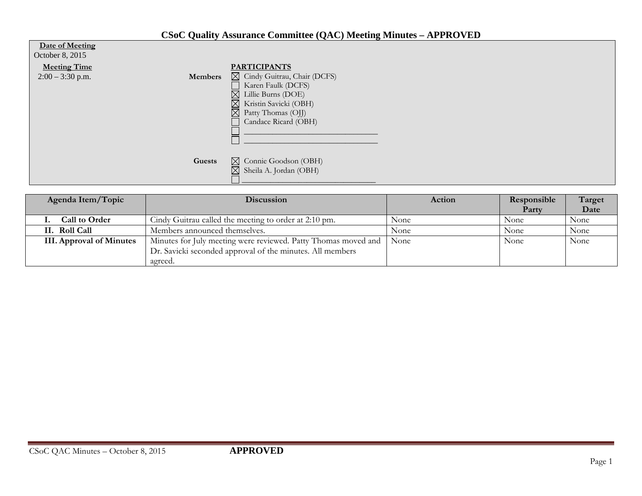## **CSoC Quality Assurance Committee (QAC) Meeting Minutes – APPROVED**

| Date of Meeting<br>October 8, 2015        |                                                                                                                                                                                                                               |
|-------------------------------------------|-------------------------------------------------------------------------------------------------------------------------------------------------------------------------------------------------------------------------------|
| <b>Meeting Time</b><br>$2:00 - 3:30$ p.m. | <b>PARTICIPANTS</b><br>⊠ Cindy Guitrau, Chair (DCFS)<br><b>Members</b><br>Karen Faulk (DCFS)<br>$\boxtimes$ Lillie Burns (DOE)<br>$\boxtimes$ Kristin Savicki (OBH)<br>$\boxtimes$ Patty Thomas (OJJ)<br>Candace Ricard (OBH) |
|                                           | $\boxtimes$ Connie Goodson (OBH)<br>Guests<br>$\boxtimes$ Sheila A. Jordan (OBH)                                                                                                                                              |

| Agenda Item/Topic               | <b>Discussion</b>                                              | Action | Responsible<br>Party | Target<br>Date |
|---------------------------------|----------------------------------------------------------------|--------|----------------------|----------------|
| <b>Call to Order</b>            | Cindy Guitrau called the meeting to order at 2:10 pm.          | None   | None                 | None           |
| II. Roll Call                   | Members announced themselves.                                  | None   | None                 | None           |
| <b>III.</b> Approval of Minutes | Minutes for July meeting were reviewed. Patty Thomas moved and | None   | None                 | None           |
|                                 | Dr. Savicki seconded approval of the minutes. All members      |        |                      |                |
|                                 | agreed.                                                        |        |                      |                |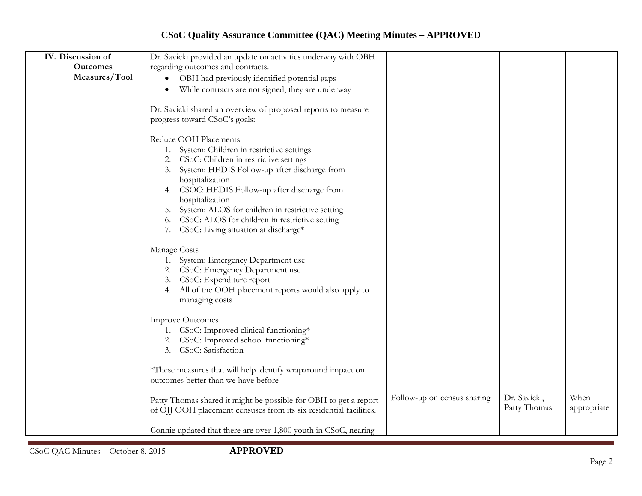## **CSoC Quality Assurance Committee (QAC) Meeting Minutes – APPROVED**

| IV. Discussion of | Dr. Savicki provided an update on activities underway with OBH                                                                         |                             |                              |                     |
|-------------------|----------------------------------------------------------------------------------------------------------------------------------------|-----------------------------|------------------------------|---------------------|
| <b>Outcomes</b>   | regarding outcomes and contracts.                                                                                                      |                             |                              |                     |
| Measures/Tool     | OBH had previously identified potential gaps                                                                                           |                             |                              |                     |
|                   | While contracts are not signed, they are underway<br>$\bullet$                                                                         |                             |                              |                     |
|                   | Dr. Savicki shared an overview of proposed reports to measure<br>progress toward CSoC's goals:                                         |                             |                              |                     |
|                   | Reduce OOH Placements                                                                                                                  |                             |                              |                     |
|                   | 1. System: Children in restrictive settings<br>2. CSoC: Children in restrictive settings                                               |                             |                              |                     |
|                   | 3. System: HEDIS Follow-up after discharge from                                                                                        |                             |                              |                     |
|                   | hospitalization                                                                                                                        |                             |                              |                     |
|                   | CSOC: HEDIS Follow-up after discharge from                                                                                             |                             |                              |                     |
|                   | hospitalization                                                                                                                        |                             |                              |                     |
|                   | System: ALOS for children in restrictive setting<br>5.                                                                                 |                             |                              |                     |
|                   | CSoC: ALOS for children in restrictive setting<br>6.                                                                                   |                             |                              |                     |
|                   | CSoC: Living situation at discharge*<br>7.                                                                                             |                             |                              |                     |
|                   | Manage Costs                                                                                                                           |                             |                              |                     |
|                   | 1. System: Emergency Department use                                                                                                    |                             |                              |                     |
|                   | 2. CSoC: Emergency Department use                                                                                                      |                             |                              |                     |
|                   | 3. CSoC: Expenditure report                                                                                                            |                             |                              |                     |
|                   | 4. All of the OOH placement reports would also apply to                                                                                |                             |                              |                     |
|                   | managing costs                                                                                                                         |                             |                              |                     |
|                   | <b>Improve Outcomes</b>                                                                                                                |                             |                              |                     |
|                   | 1. CSoC: Improved clinical functioning*                                                                                                |                             |                              |                     |
|                   | 2. CSoC: Improved school functioning*                                                                                                  |                             |                              |                     |
|                   | 3. CSoC: Satisfaction                                                                                                                  |                             |                              |                     |
|                   | *These measures that will help identify wraparound impact on                                                                           |                             |                              |                     |
|                   | outcomes better than we have before                                                                                                    |                             |                              |                     |
|                   | Patty Thomas shared it might be possible for OBH to get a report<br>of OJJ OOH placement censuses from its six residential facilities. | Follow-up on census sharing | Dr. Savicki,<br>Patty Thomas | When<br>appropriate |
|                   | Connie updated that there are over 1,800 youth in CSoC, nearing                                                                        |                             |                              |                     |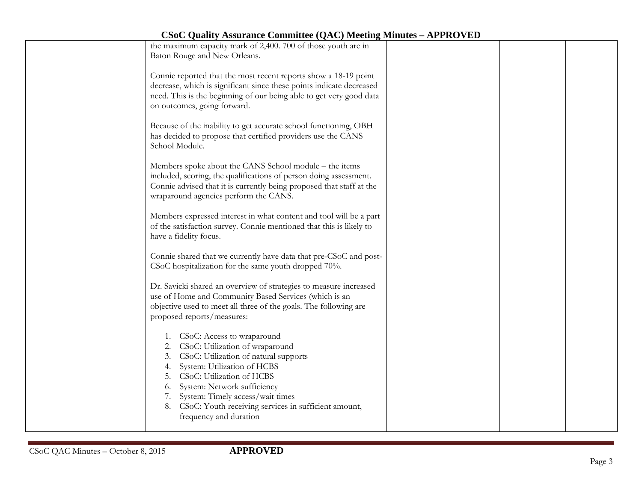| <b>CSoC Quality Assurance Committee (QAC) Meeting Minutes – APPROVED</b>                                      |  |  |
|---------------------------------------------------------------------------------------------------------------|--|--|
| the maximum capacity mark of 2,400. 700 of those youth are in                                                 |  |  |
| Baton Rouge and New Orleans.                                                                                  |  |  |
|                                                                                                               |  |  |
| Connie reported that the most recent reports show a 18-19 point                                               |  |  |
| decrease, which is significant since these points indicate decreased                                          |  |  |
| need. This is the beginning of our being able to get very good data                                           |  |  |
| on outcomes, going forward.                                                                                   |  |  |
|                                                                                                               |  |  |
| Because of the inability to get accurate school functioning, OBH                                              |  |  |
| has decided to propose that certified providers use the CANS                                                  |  |  |
| School Module.                                                                                                |  |  |
|                                                                                                               |  |  |
| Members spoke about the CANS School module – the items                                                        |  |  |
| included, scoring, the qualifications of person doing assessment.                                             |  |  |
| Connie advised that it is currently being proposed that staff at the<br>wraparound agencies perform the CANS. |  |  |
|                                                                                                               |  |  |
| Members expressed interest in what content and tool will be a part                                            |  |  |
| of the satisfaction survey. Connie mentioned that this is likely to                                           |  |  |
| have a fidelity focus.                                                                                        |  |  |
|                                                                                                               |  |  |
| Connie shared that we currently have data that pre-CSoC and post-                                             |  |  |
| CSoC hospitalization for the same youth dropped 70%.                                                          |  |  |
|                                                                                                               |  |  |
| Dr. Savicki shared an overview of strategies to measure increased                                             |  |  |
| use of Home and Community Based Services (which is an                                                         |  |  |
| objective used to meet all three of the goals. The following are                                              |  |  |
| proposed reports/measures:                                                                                    |  |  |
|                                                                                                               |  |  |
| 1. CSoC: Access to wraparound                                                                                 |  |  |
| CSoC: Utilization of wraparound                                                                               |  |  |
| CSoC: Utilization of natural supports<br>3.                                                                   |  |  |
| System: Utilization of HCBS<br>4.                                                                             |  |  |
| CSoC: Utilization of HCBS<br>5.                                                                               |  |  |
| System: Network sufficiency<br>6.                                                                             |  |  |
| System: Timely access/wait times<br>7.                                                                        |  |  |
| CSoC: Youth receiving services in sufficient amount,<br>8.                                                    |  |  |
| frequency and duration                                                                                        |  |  |
|                                                                                                               |  |  |